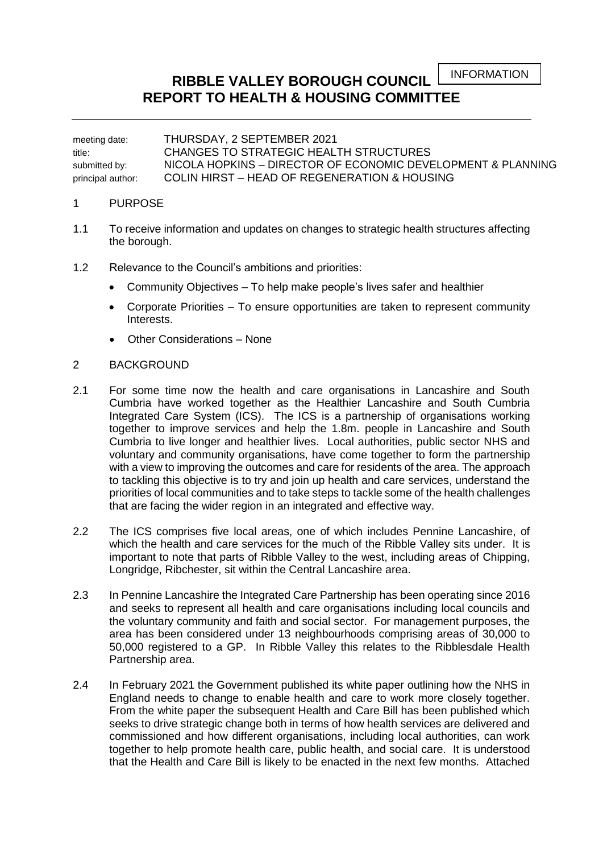INFORMATION

## **RIBBLE VALLEY BOROUGH COUNCIL REPORT TO HEALTH & HOUSING COMMITTEE**

meeting date: THURSDAY, 2 SEPTEMBER 2021 title: CHANGES TO STRATEGIC HEALTH STRUCTURES submitted by: NICOLA HOPKINS – DIRECTOR OF ECONOMIC DEVELOPMENT & PLANNING principal author: COLIN HIRST – HEAD OF REGENERATION & HOUSING

## 1 PURPOSE

- 1.1 To receive information and updates on changes to strategic health structures affecting the borough.
- 1.2 Relevance to the Council's ambitions and priorities:
	- Community Objectives To help make people's lives safer and healthier
	- Corporate Priorities To ensure opportunities are taken to represent community Interests.
	- Other Considerations None

## 2 BACKGROUND

- 2.1 For some time now the health and care organisations in Lancashire and South Cumbria have worked together as the Healthier Lancashire and South Cumbria Integrated Care System (ICS). The ICS is a partnership of organisations working together to improve services and help the 1.8m. people in Lancashire and South Cumbria to live longer and healthier lives. Local authorities, public sector NHS and voluntary and community organisations, have come together to form the partnership with a view to improving the outcomes and care for residents of the area. The approach to tackling this objective is to try and join up health and care services, understand the priorities of local communities and to take steps to tackle some of the health challenges that are facing the wider region in an integrated and effective way.
- 2.2 The ICS comprises five local areas, one of which includes Pennine Lancashire, of which the health and care services for the much of the Ribble Valley sits under. It is important to note that parts of Ribble Valley to the west, including areas of Chipping, Longridge, Ribchester, sit within the Central Lancashire area.
- 2.3 In Pennine Lancashire the Integrated Care Partnership has been operating since 2016 and seeks to represent all health and care organisations including local councils and the voluntary community and faith and social sector. For management purposes, the area has been considered under 13 neighbourhoods comprising areas of 30,000 to 50,000 registered to a GP. In Ribble Valley this relates to the Ribblesdale Health Partnership area.
- 2.4 In February 2021 the Government published its white paper outlining how the NHS in England needs to change to enable health and care to work more closely together. From the white paper the subsequent Health and Care Bill has been published which seeks to drive strategic change both in terms of how health services are delivered and commissioned and how different organisations, including local authorities, can work together to help promote health care, public health, and social care. It is understood that the Health and Care Bill is likely to be enacted in the next few months. Attached